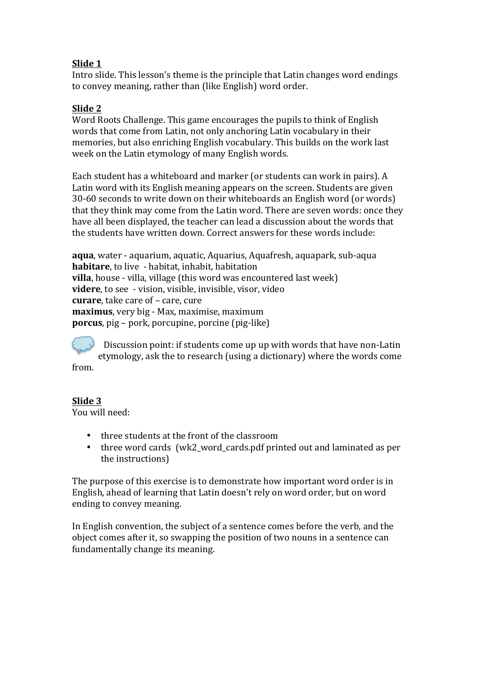# **Slide 1**

Intro slide. This lesson's theme is the principle that Latin changes word endings to convey meaning, rather than (like English) word order.

## **Slide 2**

Word Roots Challenge. This game encourages the pupils to think of English words that come from Latin, not only anchoring Latin vocabulary in their memories, but also enriching English vocabulary. This builds on the work last week on the Latin etymology of many English words.

Each student has a whiteboard and marker (or students can work in pairs). A Latin word with its English meaning appears on the screen. Students are given 30-60 seconds to write down on their whiteboards an English word (or words) that they think may come from the Latin word. There are seven words: once they have all been displayed, the teacher can lead a discussion about the words that the students have written down. Correct answers for these words include:

**aqua**, water - aquarium, aquatic, Aquarius, Aquafresh, aquapark, sub-aqua **habitare**, to live - habitat, inhabit, habitation **villa**, house - villa, village (this word was encountered last week) **videre**, to see - vision, visible, invisible, visor, video **curare**, take care of – care, cure **maximus**, very big - Max, maximise, maximum **porcus**, pig – pork, porcupine, porcine (pig-like)

Discussion point: if students come up up with words that have non-Latin etymology, ask the to research (using a dictionary) where the words come from.

### **Slide 3**

You will need:

- three students at the front of the classroom
- three word cards (wk2\_word\_cards.pdf printed out and laminated as per the instructions)

The purpose of this exercise is to demonstrate how important word order is in English, ahead of learning that Latin doesn't rely on word order, but on word ending to convey meaning.

In English convention, the subject of a sentence comes before the verb, and the object comes after it, so swapping the position of two nouns in a sentence can fundamentally change its meaning.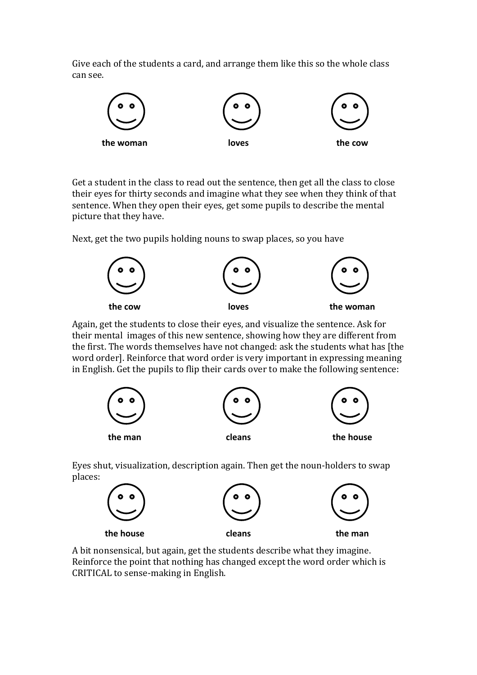Give each of the students a card, and arrange them like this so the whole class can see.



Get a student in the class to read out the sentence, then get all the class to close their eyes for thirty seconds and imagine what they see when they think of that sentence. When they open their eyes, get some pupils to describe the mental picture that they have.

Next, get the two pupils holding nouns to swap places, so you have



Again, get the students to close their eyes, and visualize the sentence. Ask for their mental images of this new sentence, showing how they are different from the first. The words themselves have not changed: ask the students what has [the word order]. Reinforce that word order is very important in expressing meaning in English. Get the pupils to flip their cards over to make the following sentence:



Eyes shut, visualization, description again. Then get the noun-holders to swap places:



A bit nonsensical, but again, get the students describe what they imagine. Reinforce the point that nothing has changed except the word order which is CRITICAL to sense-making in English.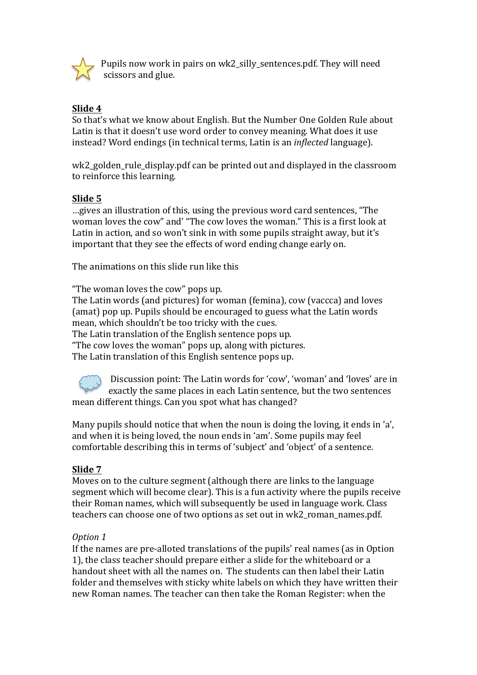

Pupils now work in pairs on wk2\_silly\_sentences.pdf. They will need scissors and glue.

# **Slide 4**

So that's what we know about English. But the Number One Golden Rule about Latin is that it doesn't use word order to convey meaning. What does it use instead? Word endings (in technical terms, Latin is an *inflected* language).

wk2\_golden\_rule\_display.pdf can be printed out and displayed in the classroom to reinforce this learning.

## **Slide 5**

...gives an illustration of this, using the previous word card sentences, "The woman loves the cow" and' "The cow loves the woman." This is a first look at Latin in action, and so won't sink in with some pupils straight away, but it's important that they see the effects of word ending change early on.

The animations on this slide run like this

"The woman loves the cow" pops up.

The Latin words (and pictures) for woman (femina), cow (vaccca) and loves (amat) pop up. Pupils should be encouraged to guess what the Latin words mean, which shouldn't be too tricky with the cues.

The Latin translation of the English sentence pops up.

"The cow loves the woman" pops up, along with pictures.

The Latin translation of this English sentence pops up.

Discussion point: The Latin words for 'cow', 'woman' and 'loves' are in exactly the same places in each Latin sentence, but the two sentences mean different things. Can you spot what has changed?

Many pupils should notice that when the noun is doing the loving, it ends in 'a', and when it is being loved, the noun ends in 'am'. Some pupils may feel comfortable describing this in terms of 'subject' and 'object' of a sentence.

### Slide 7

Moves on to the culture segment (although there are links to the language segment which will become clear). This is a fun activity where the pupils receive their Roman names, which will subsequently be used in language work. Class teachers can choose one of two options as set out in wk2 roman names.pdf.

### *Option 1*

If the names are pre-alloted translations of the pupils' real names (as in Option 1), the class teacher should prepare either a slide for the whiteboard or a handout sheet with all the names on. The students can then label their Latin folder and themselves with sticky white labels on which they have written their new Roman names. The teacher can then take the Roman Register: when the